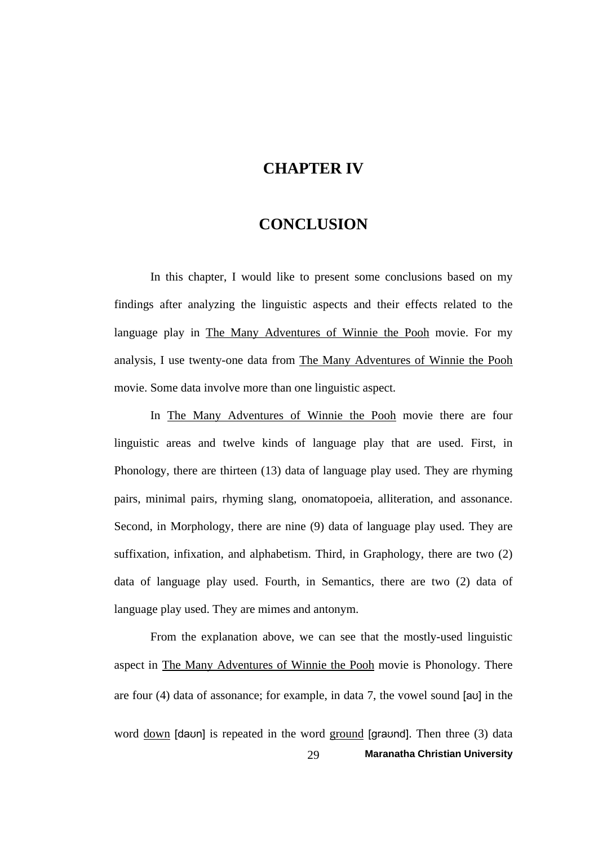## **CHAPTER IV**

## **CONCLUSION**

 In this chapter, I would like to present some conclusions based on my findings after analyzing the linguistic aspects and their effects related to the language play in The Many Adventures of Winnie the Pooh movie. For my analysis, I use twenty-one data from The Many Adventures of Winnie the Pooh movie. Some data involve more than one linguistic aspect.

 In The Many Adventures of Winnie the Pooh movie there are four linguistic areas and twelve kinds of language play that are used. First, in Phonology, there are thirteen (13) data of language play used. They are rhyming pairs, minimal pairs, rhyming slang, onomatopoeia, alliteration, and assonance. Second, in Morphology, there are nine (9) data of language play used. They are suffixation, infixation, and alphabetism. Third, in Graphology, there are two (2) data of language play used. Fourth, in Semantics, there are two (2) data of language play used. They are mimes and antonym.

29 **Maranatha Christian University**  From the explanation above, we can see that the mostly-used linguistic aspect in The Many Adventures of Winnie the Pooh movie is Phonology. There are four (4) data of assonance; for example, in data 7, the vowel sound [aʊ] in the word down [daʊn] is repeated in the word ground [graʊnd]. Then three (3) data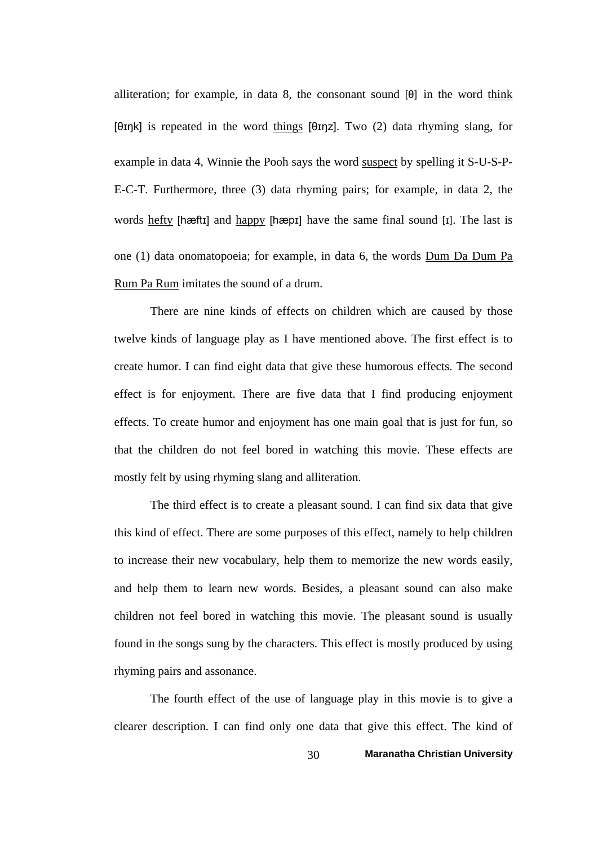alliteration; for example, in data 8, the consonant sound [θ] in the word think [θɪŋk] is repeated in the word things [θɪŋz]. Two (2) data rhyming slang, for example in data 4, Winnie the Pooh says the word suspect by spelling it S-U-S-P-E-C-T. Furthermore, three (3) data rhyming pairs; for example, in data 2, the words hefty [hæftɪ] and happy [hæpɪ] have the same final sound [ɪ]. The last is one (1) data onomatopoeia; for example, in data 6, the words Dum Da Dum Pa Rum Pa Rum imitates the sound of a drum.

 There are nine kinds of effects on children which are caused by those twelve kinds of language play as I have mentioned above. The first effect is to create humor. I can find eight data that give these humorous effects. The second effect is for enjoyment. There are five data that I find producing enjoyment effects. To create humor and enjoyment has one main goal that is just for fun, so that the children do not feel bored in watching this movie. These effects are mostly felt by using rhyming slang and alliteration.

 The third effect is to create a pleasant sound. I can find six data that give this kind of effect. There are some purposes of this effect, namely to help children to increase their new vocabulary, help them to memorize the new words easily, and help them to learn new words. Besides, a pleasant sound can also make children not feel bored in watching this movie. The pleasant sound is usually found in the songs sung by the characters. This effect is mostly produced by using rhyming pairs and assonance.

 The fourth effect of the use of language play in this movie is to give a clearer description. I can find only one data that give this effect. The kind of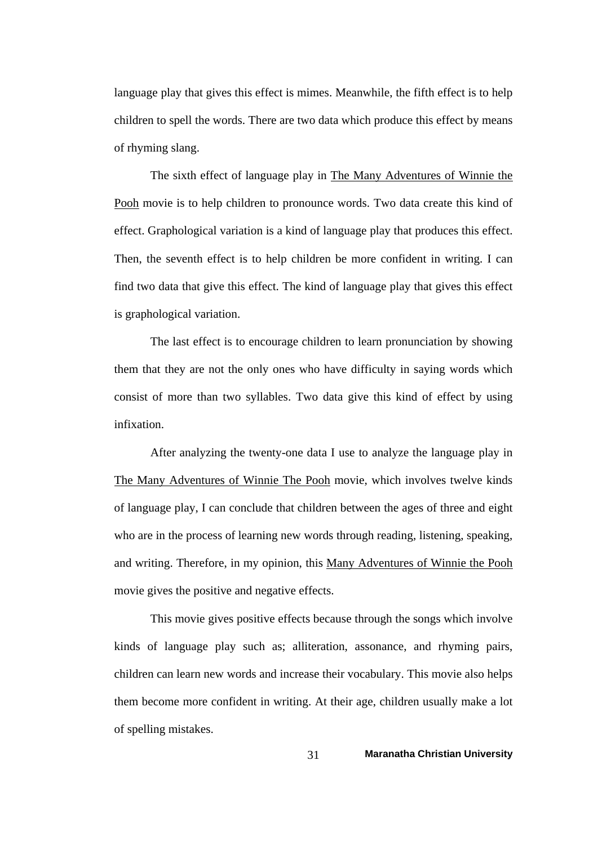language play that gives this effect is mimes. Meanwhile, the fifth effect is to help children to spell the words. There are two data which produce this effect by means of rhyming slang.

 The sixth effect of language play in The Many Adventures of Winnie the Pooh movie is to help children to pronounce words. Two data create this kind of effect. Graphological variation is a kind of language play that produces this effect. Then, the seventh effect is to help children be more confident in writing. I can find two data that give this effect. The kind of language play that gives this effect is graphological variation.

 The last effect is to encourage children to learn pronunciation by showing them that they are not the only ones who have difficulty in saying words which consist of more than two syllables. Two data give this kind of effect by using infixation.

 After analyzing the twenty-one data I use to analyze the language play in The Many Adventures of Winnie The Pooh movie, which involves twelve kinds of language play, I can conclude that children between the ages of three and eight who are in the process of learning new words through reading, listening, speaking, and writing. Therefore, in my opinion, this Many Adventures of Winnie the Pooh movie gives the positive and negative effects.

 This movie gives positive effects because through the songs which involve kinds of language play such as; alliteration, assonance, and rhyming pairs, children can learn new words and increase their vocabulary. This movie also helps them become more confident in writing. At their age, children usually make a lot of spelling mistakes.

31 **Maranatha Christian University**